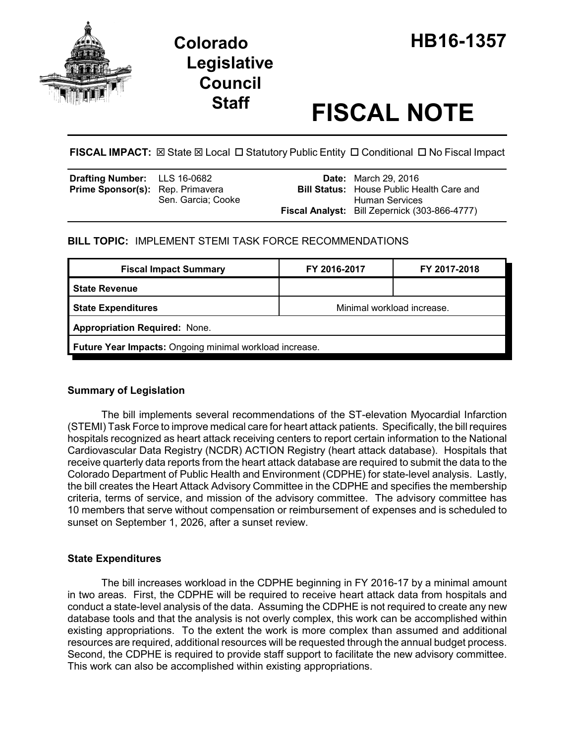



# **Staff FISCAL NOTE**

**FISCAL IMPACT:**  $\boxtimes$  **State**  $\boxtimes$  **Local □ Statutory Public Entity □ Conditional □ No Fiscal Impact** 

| <b>Drafting Number:</b> LLS 16-0682     |                    | <b>Date:</b> March 29, 2016                          |
|-----------------------------------------|--------------------|------------------------------------------------------|
| <b>Prime Sponsor(s):</b> Rep. Primavera |                    | <b>Bill Status:</b> House Public Health Care and     |
|                                         | Sen. Garcia; Cooke | Human Services                                       |
|                                         |                    | <b>Fiscal Analyst:</b> Bill Zepernick (303-866-4777) |

**BILL TOPIC:** IMPLEMENT STEMI TASK FORCE RECOMMENDATIONS

| <b>Fiscal Impact Summary</b>                            | FY 2016-2017               | FY 2017-2018 |  |  |  |
|---------------------------------------------------------|----------------------------|--------------|--|--|--|
| <b>State Revenue</b>                                    |                            |              |  |  |  |
| <b>State Expenditures</b>                               | Minimal workload increase. |              |  |  |  |
| <b>Appropriation Required: None.</b>                    |                            |              |  |  |  |
| Future Year Impacts: Ongoing minimal workload increase. |                            |              |  |  |  |

## **Summary of Legislation**

The bill implements several recommendations of the ST-elevation Myocardial Infarction (STEMI) Task Force to improve medical care for heart attack patients. Specifically, the bill requires hospitals recognized as heart attack receiving centers to report certain information to the National Cardiovascular Data Registry (NCDR) ACTION Registry (heart attack database). Hospitals that receive quarterly data reports from the heart attack database are required to submit the data to the Colorado Department of Public Health and Environment (CDPHE) for state-level analysis. Lastly, the bill creates the Heart Attack Advisory Committee in the CDPHE and specifies the membership criteria, terms of service, and mission of the advisory committee. The advisory committee has 10 members that serve without compensation or reimbursement of expenses and is scheduled to sunset on September 1, 2026, after a sunset review.

## **State Expenditures**

The bill increases workload in the CDPHE beginning in FY 2016-17 by a minimal amount in two areas. First, the CDPHE will be required to receive heart attack data from hospitals and conduct a state-level analysis of the data. Assuming the CDPHE is not required to create any new database tools and that the analysis is not overly complex, this work can be accomplished within existing appropriations. To the extent the work is more complex than assumed and additional resources are required, additional resources will be requested through the annual budget process. Second, the CDPHE is required to provide staff support to facilitate the new advisory committee. This work can also be accomplished within existing appropriations.